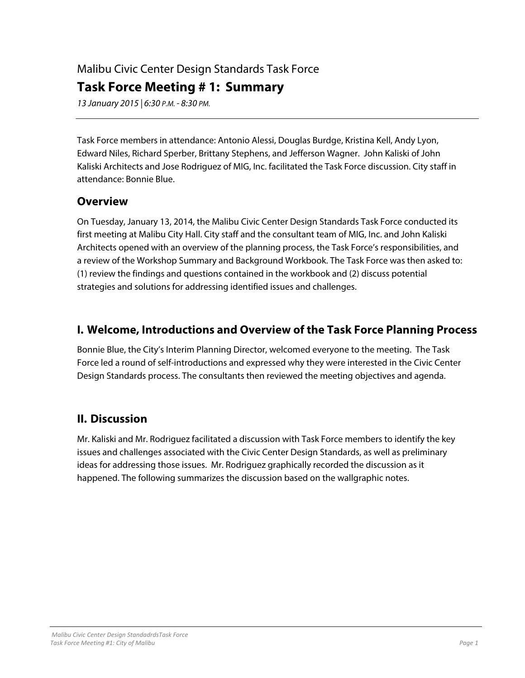# Malibu Civic Center Design Standards Task Force

## **Task Force Meeting # 1: Summary**

13 January 2015 | 6:30 P.M. - 8:30 PM.

Task Force members in attendance: Antonio Alessi, Douglas Burdge, Kristina Kell, Andy Lyon, Edward Niles, Richard Sperber, Brittany Stephens, and Jefferson Wagner. John Kaliski of John Kaliski Architects and Jose Rodriguez of MIG, Inc. facilitated the Task Force discussion. City staff in attendance: Bonnie Blue.

#### **Overview**

On Tuesday, January 13, 2014, the Malibu Civic Center Design Standards Task Force conducted its first meeting at Malibu City Hall. City staff and the consultant team of MIG, Inc. and John Kaliski Architects opened with an overview of the planning process, the Task Force's responsibilities, and a review of the Workshop Summary and Background Workbook. The Task Force was then asked to: (1) review the findings and questions contained in the workbook and (2) discuss potential strategies and solutions for addressing identified issues and challenges.

## **I. Welcome, Introductions and Overview of the Task Force Planning Process**

Bonnie Blue, the City's Interim Planning Director, welcomed everyone to the meeting. The Task Force led a round of self-introductions and expressed why they were interested in the Civic Center Design Standards process. The consultants then reviewed the meeting objectives and agenda.

## **II. Discussion**

Mr. Kaliski and Mr. Rodriguez facilitated a discussion with Task Force members to identify the key issues and challenges associated with the Civic Center Design Standards, as well as preliminary ideas for addressing those issues. Mr. Rodriguez graphically recorded the discussion as it happened. The following summarizes the discussion based on the wallgraphic notes.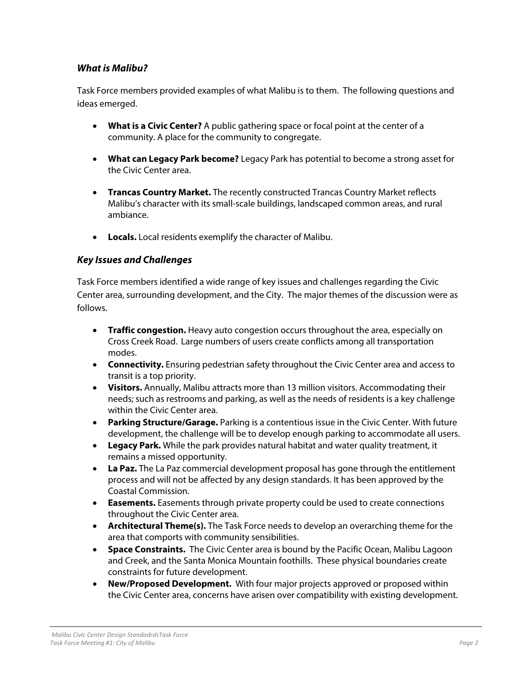#### **What is Malibu?**

Task Force members provided examples of what Malibu is to them. The following questions and ideas emerged.

- **What is a Civic Center?** A public gathering space or focal point at the center of a community. A place for the community to congregate.
- **What can Legacy Park become?** Legacy Park has potential to become a strong asset for the Civic Center area.
- **Trancas Country Market.** The recently constructed Trancas Country Market reflects Malibu's character with its small-scale buildings, landscaped common areas, and rural ambiance.
- **Locals.** Local residents exemplify the character of Malibu.

#### **Key Issues and Challenges**

Task Force members identified a wide range of key issues and challenges regarding the Civic Center area, surrounding development, and the City. The major themes of the discussion were as follows.

- **Traffic congestion.** Heavy auto congestion occurs throughout the area, especially on Cross Creek Road. Large numbers of users create conflicts among all transportation modes.
- **Connectivity.** Ensuring pedestrian safety throughout the Civic Center area and access to transit is a top priority.
- **Visitors.** Annually, Malibu attracts more than 13 million visitors. Accommodating their needs; such as restrooms and parking, as well as the needs of residents is a key challenge within the Civic Center area.
- **Parking Structure/Garage.** Parking is a contentious issue in the Civic Center. With future development, the challenge will be to develop enough parking to accommodate all users.
- **Legacy Park.** While the park provides natural habitat and water quality treatment, it remains a missed opportunity.
- **La Paz.** The La Paz commercial development proposal has gone through the entitlement process and will not be affected by any design standards. It has been approved by the Coastal Commission.
- **Easements.** Easements through private property could be used to create connections throughout the Civic Center area.
- **Architectural Theme(s).** The Task Force needs to develop an overarching theme for the area that comports with community sensibilities.
- **Space Constraints.** The Civic Center area is bound by the Pacific Ocean, Malibu Lagoon and Creek, and the Santa Monica Mountain foothills. These physical boundaries create constraints for future development.
- **New/Proposed Development.** With four major projects approved or proposed within the Civic Center area, concerns have arisen over compatibility with existing development.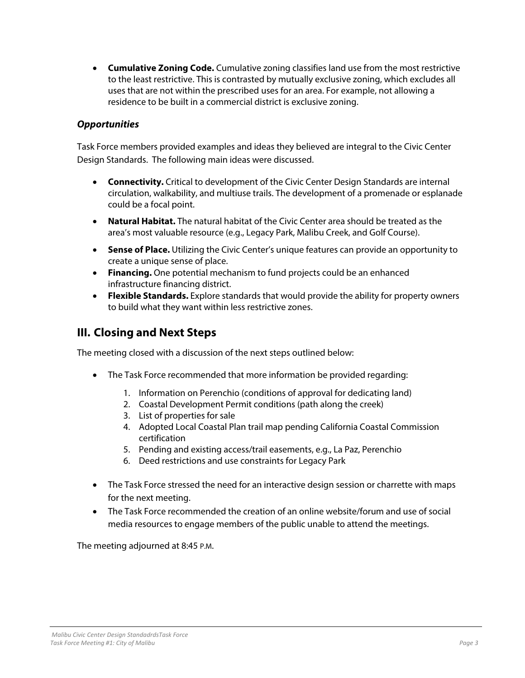**Cumulative Zoning Code.** Cumulative zoning classifies land use from the most restrictive to the least restrictive. This is contrasted by mutually exclusive zoning, which excludes all uses that are not within the prescribed uses for an area. For example, not allowing a residence to be built in a commercial district is exclusive zoning.

#### **Opportunities**

Task Force members provided examples and ideas they believed are integral to the Civic Center Design Standards. The following main ideas were discussed.

- **Connectivity.** Critical to development of the Civic Center Design Standards are internal circulation, walkability, and multiuse trails. The development of a promenade or esplanade could be a focal point.
- **Natural Habitat.** The natural habitat of the Civic Center area should be treated as the area's most valuable resource (e.g., Legacy Park, Malibu Creek, and Golf Course).
- **Sense of Place.** Utilizing the Civic Center's unique features can provide an opportunity to create a unique sense of place.
- **Financing.** One potential mechanism to fund projects could be an enhanced infrastructure financing district.
- **Flexible Standards.** Explore standards that would provide the ability for property owners to build what they want within less restrictive zones.

### **III. Closing and Next Steps**

The meeting closed with a discussion of the next steps outlined below:

- The Task Force recommended that more information be provided regarding:
	- 1. Information on Perenchio (conditions of approval for dedicating land)
	- 2. Coastal Development Permit conditions (path along the creek)
	- 3. List of properties for sale
	- 4. Adopted Local Coastal Plan trail map pending California Coastal Commission certification
	- 5. Pending and existing access/trail easements, e.g., La Paz, Perenchio
	- 6. Deed restrictions and use constraints for Legacy Park
- The Task Force stressed the need for an interactive design session or charrette with maps for the next meeting.
- The Task Force recommended the creation of an online website/forum and use of social media resources to engage members of the public unable to attend the meetings.

The meeting adjourned at 8:45 P.M.